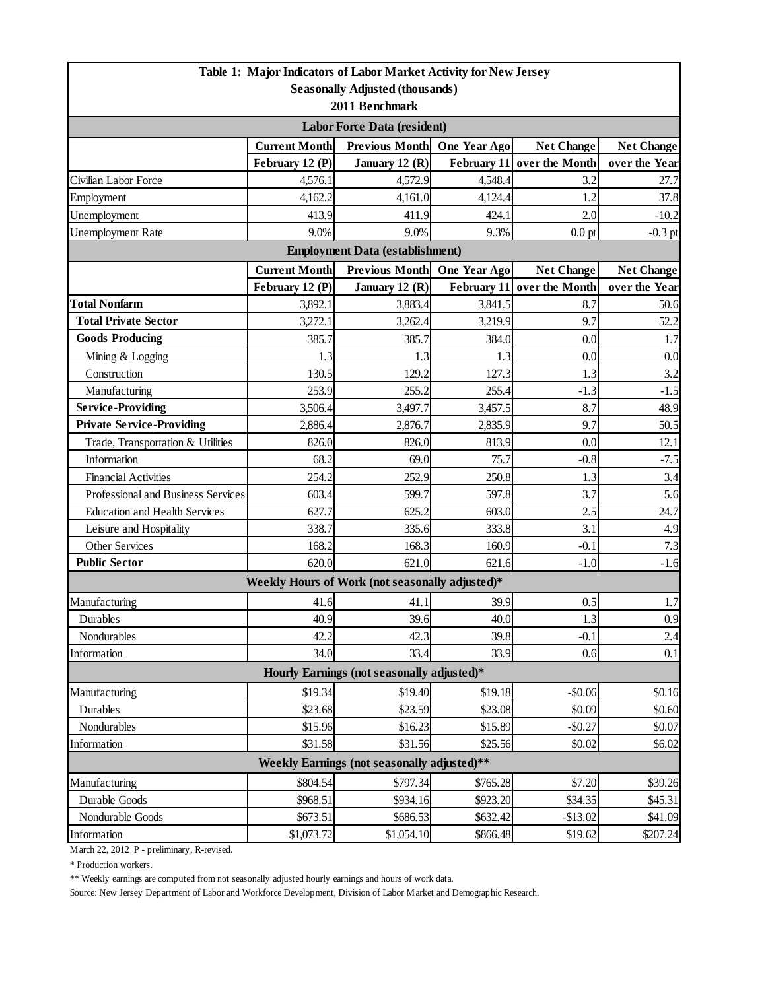| Table 1: Major Indicators of Labor Market Activity for New Jersey      |                      |                                                 |              |                            |                   |  |  |  |
|------------------------------------------------------------------------|----------------------|-------------------------------------------------|--------------|----------------------------|-------------------|--|--|--|
| <b>Seasonally Adjusted (thousands)</b>                                 |                      |                                                 |              |                            |                   |  |  |  |
| 2011 Benchmark                                                         |                      |                                                 |              |                            |                   |  |  |  |
| <b>Labor Force Data (resident)</b>                                     |                      |                                                 |              |                            |                   |  |  |  |
|                                                                        | <b>Current Month</b> | <b>Previous Month</b>                           | One Year Ago | <b>Net Change</b>          | <b>Net Change</b> |  |  |  |
|                                                                        | February 12 (P)      | January 12 (R)                                  |              | February 11 over the Month | over the Year     |  |  |  |
| Civilian Labor Force                                                   | 4,576.1              | 4,572.9                                         | 4,548.4      | 3.2                        | 27.7              |  |  |  |
| Employment                                                             | 4,162.2              | 4,161.0                                         | 4,124.4      | 1.2                        | 37.8              |  |  |  |
| Unemployment                                                           | 413.9                | 411.9                                           | 424.1        | 2.0                        | $-10.2$           |  |  |  |
| <b>Unemployment Rate</b>                                               | 9.0%                 | 9.0%                                            | 9.3%         | $0.0$ pt                   | $-0.3$ pt         |  |  |  |
| <b>Employment Data (establishment)</b>                                 |                      |                                                 |              |                            |                   |  |  |  |
|                                                                        | <b>Current Month</b> | <b>Previous Month</b>                           | One Year Ago | <b>Net Change</b>          | <b>Net Change</b> |  |  |  |
|                                                                        | February 12 (P)      | January 12 (R)                                  | February 11  | over the Month             | over the Year     |  |  |  |
| <b>Total Nonfarm</b>                                                   | 3,892.1              | 3,883.4                                         | 3,841.5      | 8.7                        | 50.6              |  |  |  |
| <b>Total Private Sector</b>                                            | 3,272.1              | 3,262.4                                         | 3,219.9      | 9.7                        | 52.2              |  |  |  |
| <b>Goods Producing</b>                                                 | 385.7                | 385.7                                           | 384.0        | 0.0                        | 1.7               |  |  |  |
| Mining & Logging                                                       | 1.3                  | 1.3                                             | 1.3          | 0.0                        | 0.0               |  |  |  |
| Construction                                                           | 130.5                | 129.2                                           | 127.3        | 1.3                        | 3.2               |  |  |  |
| Manufacturing                                                          | 253.9                | 255.2                                           | 255.4        | $-1.3$                     | $-1.5$            |  |  |  |
| <b>Service-Providing</b>                                               | 3,506.4              | 3,497.7                                         | 3,457.5      | 8.7                        | 48.9              |  |  |  |
| <b>Private Service-Providing</b>                                       | 2,886.4              | 2,876.7                                         | 2,835.9      | 9.7                        | 50.5              |  |  |  |
| Trade, Transportation & Utilities                                      | 826.0                | 826.0                                           | 813.9        | 0.0                        | 12.1              |  |  |  |
| Information                                                            | 68.2                 | 69.0                                            | 75.7         | $-0.8$                     | $-7.5$            |  |  |  |
| <b>Financial Activities</b>                                            | 254.2                | 252.9                                           | 250.8        | 1.3                        | 3.4               |  |  |  |
| Professional and Business Services                                     | 603.4                | 599.7                                           | 597.8        | 3.7                        | 5.6               |  |  |  |
| <b>Education and Health Services</b>                                   | 627.7                | 625.2                                           | 603.0        | 2.5                        | 24.7              |  |  |  |
| Leisure and Hospitality                                                | 338.7                | 335.6                                           | 333.8        | 3.1                        | 4.9               |  |  |  |
| Other Services                                                         | 168.2                | 168.3                                           | 160.9        | $-0.1$                     | 7.3               |  |  |  |
| <b>Public Sector</b>                                                   | 620.0                | 621.0                                           | 621.6        | $-1.0$                     | $-1.6$            |  |  |  |
|                                                                        |                      | Weekly Hours of Work (not seasonally adjusted)* |              |                            |                   |  |  |  |
| Manufacturing                                                          | 41.6                 | 41.1                                            | 39.9         | 0.5                        | 1.7               |  |  |  |
| <b>Durables</b>                                                        | 40.9                 | 39.6                                            | 40.0         | 1.3                        | 0.9               |  |  |  |
| Nondurables                                                            | 42.2                 | 42.3                                            | 39.8         | $-0.1$                     | 2.4               |  |  |  |
| Information                                                            | 34.0                 | 33.4                                            | 33.9         | 0.6                        | 0.1               |  |  |  |
| Hourly Earnings (not seasonally adjusted)*                             |                      |                                                 |              |                            |                   |  |  |  |
| Manufacturing                                                          | \$19.34              | \$19.40                                         | \$19.18      | $-$0.06$                   | \$0.16            |  |  |  |
| <b>Durables</b>                                                        | \$23.68              | \$23.59                                         | \$23.08      | \$0.09                     | \$0.60            |  |  |  |
| Nondurables                                                            | \$15.96              | \$16.23                                         | \$15.89      | $-$0.27$                   | \$0.07            |  |  |  |
| Information                                                            | \$31.58              | \$31.56                                         | \$25.56      | \$0.02                     | \$6.02            |  |  |  |
| Weekly Earnings (not seasonally adjusted)**                            |                      |                                                 |              |                            |                   |  |  |  |
| Manufacturing<br>\$804.54<br>\$797.34<br>\$765.28<br>\$7.20<br>\$39.26 |                      |                                                 |              |                            |                   |  |  |  |
| Durable Goods                                                          | \$968.51             | \$934.16                                        | \$923.20     | \$34.35                    | \$45.31           |  |  |  |
| Nondurable Goods                                                       | \$673.51             | \$686.53                                        | \$632.42     | $-$13.02$                  | \$41.09           |  |  |  |
| Information                                                            | \$1,073.72           | \$1,054.10                                      | \$866.48     | \$19.62                    | \$207.24          |  |  |  |

March 22, 2012 P - preliminary, R-revised.

\* Production workers.

\*\* Weekly earnings are computed from not seasonally adjusted hourly earnings and hours of work data.

Source: New Jersey Department of Labor and Workforce Development, Division of Labor Market and Demographic Research.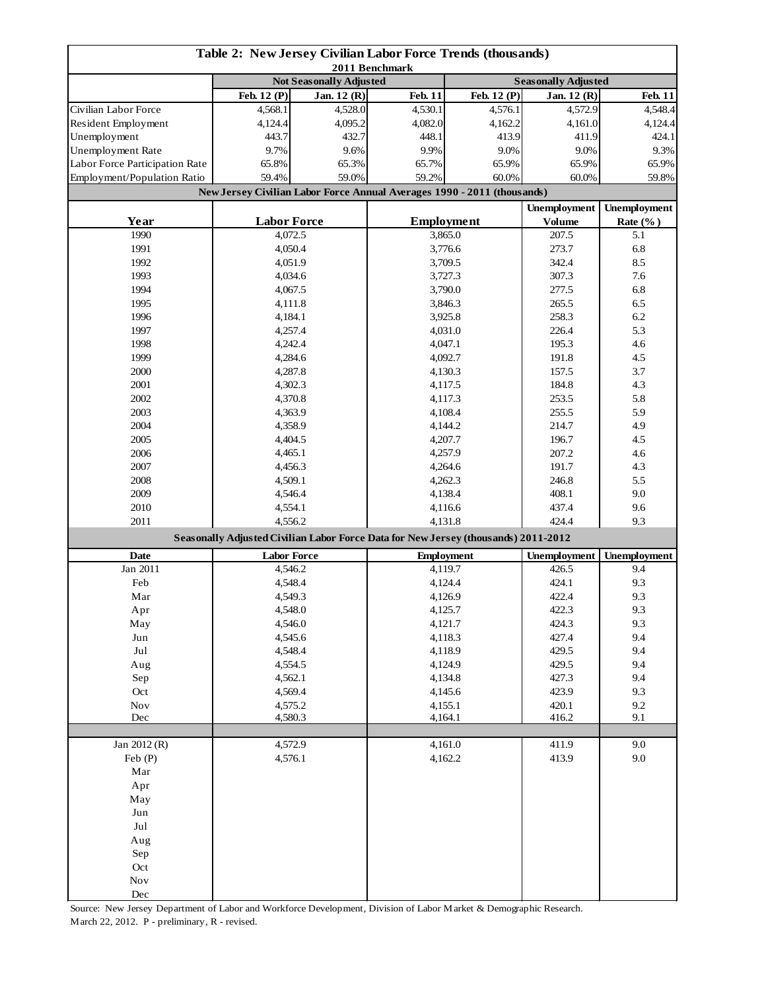| Table 2: New Jersey Civilian Labor Force Trends (thousands)<br>2011 Benchmark |                                                                                    |                                |                    |                   |                            |                     |  |  |
|-------------------------------------------------------------------------------|------------------------------------------------------------------------------------|--------------------------------|--------------------|-------------------|----------------------------|---------------------|--|--|
|                                                                               |                                                                                    | <b>Not Seasonally Adjusted</b> |                    |                   | <b>Seasonally Adjusted</b> |                     |  |  |
|                                                                               | Feb. 12 (P)                                                                        | Jan. 12 (R)                    | <b>Feb. 11</b>     | Feb. 12 (P)       | Jan. 12 (R)                | <b>Feb. 11</b>      |  |  |
| Civilian Labor Force                                                          | 4,568.1                                                                            | 4,528.0                        | 4,530.1            | 4,576.1           | 4,572.9                    | 4,548.4             |  |  |
| Resident Employment                                                           | 4,124.4                                                                            | 4,095.2                        | 4,082.0            | 4,162.2           | 4,161.0                    | 4,124.4             |  |  |
| Unemployment                                                                  | 443.7                                                                              | 432.7                          | 448.1              | 413.9             | 411.9                      | 424.1               |  |  |
| Unemployment Rate                                                             | 9.7%                                                                               | 9.6%                           | 9.9%               | 9.0%              | 9.0%                       | 9.3%                |  |  |
| Labor Force Participation Rate                                                | 65.8%                                                                              | 65.3%                          | 65.7%              | 65.9%             | 65.9%                      | 65.9%               |  |  |
| Employment/Population Ratio                                                   | 59.4%                                                                              | 59.0%                          | 59.2%              | 60.0%             | 60.0%                      | 59.8%               |  |  |
|                                                                               | New Jersey Civilian Labor Force Annual Averages 1990 - 2011 (thousands)            |                                |                    |                   |                            |                     |  |  |
|                                                                               |                                                                                    |                                |                    |                   | <b>Unemployment</b>        | <b>Unemployment</b> |  |  |
| Year                                                                          | <b>Labor Force</b>                                                                 |                                |                    | <b>Employment</b> | <b>Volume</b>              | Rate $(\%$ )        |  |  |
| 1990                                                                          | 4,072.5                                                                            |                                |                    |                   | 207.5                      | 5.1                 |  |  |
| 1991                                                                          | 4,050.4                                                                            |                                | 3,865.0<br>3,776.6 |                   | 273.7                      | 6.8                 |  |  |
| 1992                                                                          | 4,051.9                                                                            |                                | 3,709.5            |                   | 342.4                      | 8.5                 |  |  |
| 1993                                                                          | 4,034.6                                                                            |                                |                    |                   | 307.3                      | 7.6                 |  |  |
| 1994                                                                          |                                                                                    |                                | 3,727.3<br>3,790.0 |                   | 277.5                      | 6.8                 |  |  |
|                                                                               | 4,067.5                                                                            |                                |                    |                   |                            |                     |  |  |
| 1995                                                                          | 4,111.8                                                                            |                                |                    | 3,846.3           | 265.5                      | 6.5                 |  |  |
| 1996                                                                          | 4,184.1                                                                            |                                |                    | 3,925.8           | 258.3                      | 6.2                 |  |  |
| 1997                                                                          | 4,257.4                                                                            |                                |                    | 4,031.0           | 226.4                      | 5.3                 |  |  |
| 1998                                                                          | 4,242.4                                                                            |                                |                    | 4,047.1           | 195.3                      | 4.6                 |  |  |
| 1999                                                                          | 4,284.6                                                                            |                                |                    | 4,092.7           | 191.8                      | 4.5                 |  |  |
| 2000                                                                          | 4,287.8                                                                            |                                |                    | 4,130.3           | 157.5                      | 3.7                 |  |  |
| 2001                                                                          | 4,302.3                                                                            |                                |                    | 4,117.5           | 184.8                      | 4.3                 |  |  |
| 2002                                                                          | 4,370.8                                                                            |                                |                    | 4,117.3           | 253.5<br>255.5             | 5.8                 |  |  |
| 2003                                                                          | 4,363.9                                                                            |                                |                    | 4,108.4           |                            | 5.9                 |  |  |
| 2004                                                                          | 4,358.9                                                                            |                                |                    | 4,144.2           | 214.7                      | 4.9                 |  |  |
| 2005                                                                          | 4,404.5                                                                            |                                | 4,207.7            |                   | 196.7                      | 4.5                 |  |  |
| 2006                                                                          | 4,465.1                                                                            |                                | 4,257.9            |                   | 207.2                      | 4.6                 |  |  |
| 2007                                                                          | 4,456.3                                                                            |                                | 4,264.6            |                   | 191.7                      | 4.3                 |  |  |
| 2008                                                                          | 4,509.1                                                                            |                                | 4,262.3            |                   | 246.8                      | 5.5                 |  |  |
| 2009                                                                          | 4,546.4                                                                            |                                | 4,138.4            |                   | 408.1                      | 9.0                 |  |  |
| 2010                                                                          | 4,554.1                                                                            |                                |                    | 4,116.6           |                            | 9.6                 |  |  |
| 2011                                                                          | 4,556.2                                                                            |                                | 4,131.8            |                   | 424.4                      | 9.3                 |  |  |
|                                                                               | Seasonally Adjusted Civilian Labor Force Data for New Jersey (thousands) 2011-2012 |                                |                    |                   |                            |                     |  |  |
| <b>Date</b>                                                                   | <b>Labor Force</b>                                                                 |                                | <b>Employment</b>  |                   | <b>Unemployment</b>        | <b>Unemployment</b> |  |  |
| Jan 2011                                                                      | 4,546.2                                                                            |                                |                    | 4,119.7           |                            | 9.4                 |  |  |
| Feb                                                                           | 4,548.4                                                                            |                                | 4,124.4            |                   | 424.1                      | 9.3                 |  |  |
| Mar                                                                           | 4,549.3                                                                            |                                | 4,126.9            |                   | 422.4                      | 9.3                 |  |  |
| Apr                                                                           | 4,548.0                                                                            |                                | 4,125.7            |                   | 422.3                      | 9.3                 |  |  |
| May                                                                           | 4,546.0                                                                            |                                | 4,121.7            |                   | 424.3                      | 9.3                 |  |  |
| $_{\rm Jun}$                                                                  | 4,545.6                                                                            |                                | 4,118.3            |                   | 427.4                      | 9.4                 |  |  |
| $_{\rm{Jul}}$                                                                 | 4,548.4                                                                            |                                | 4,118.9            |                   | 429.5                      | 9.4                 |  |  |
| Aug                                                                           | 4,554.5                                                                            |                                | 4,124.9            |                   | 429.5                      | 9.4                 |  |  |
| Sep                                                                           | 4,562.1                                                                            |                                | 4,134.8            |                   | 427.3                      | 9.4                 |  |  |
| Oct                                                                           | 4,569.4                                                                            |                                | 4,145.6            |                   | 423.9                      | 9.3                 |  |  |
| $\operatorname{Nov}$                                                          | 4,575.2                                                                            |                                | 4,155.1            |                   | 420.1                      | 9.2                 |  |  |
| Dec                                                                           | 4,580.3                                                                            |                                | 4,164.1            |                   | 416.2                      | 9.1                 |  |  |
|                                                                               |                                                                                    |                                |                    |                   |                            |                     |  |  |
| Jan 2012 (R)                                                                  |                                                                                    | 4,572.9                        |                    | 4,161.0           | 411.9                      | 9.0                 |  |  |
| Feb(P)                                                                        | 4,576.1                                                                            |                                | 4,162.2            |                   | 413.9                      | 9.0                 |  |  |
| Mar                                                                           |                                                                                    |                                |                    |                   |                            |                     |  |  |
| Apr                                                                           |                                                                                    |                                |                    |                   |                            |                     |  |  |
| May                                                                           |                                                                                    |                                |                    |                   |                            |                     |  |  |
| Jun                                                                           |                                                                                    |                                |                    |                   |                            |                     |  |  |
| Jul                                                                           |                                                                                    |                                |                    |                   |                            |                     |  |  |
| Aug                                                                           |                                                                                    |                                |                    |                   |                            |                     |  |  |
| Sep                                                                           |                                                                                    |                                |                    |                   |                            |                     |  |  |
| Oct                                                                           |                                                                                    |                                |                    |                   |                            |                     |  |  |
| $\operatorname{Nov}$                                                          |                                                                                    |                                |                    |                   |                            |                     |  |  |
| Dec                                                                           |                                                                                    |                                |                    |                   |                            |                     |  |  |

Source: New Jersey Department of Labor and Workforce Development, Division of Labor Market & Demographic Research. March 22, 2012. P - preliminary, R - revised.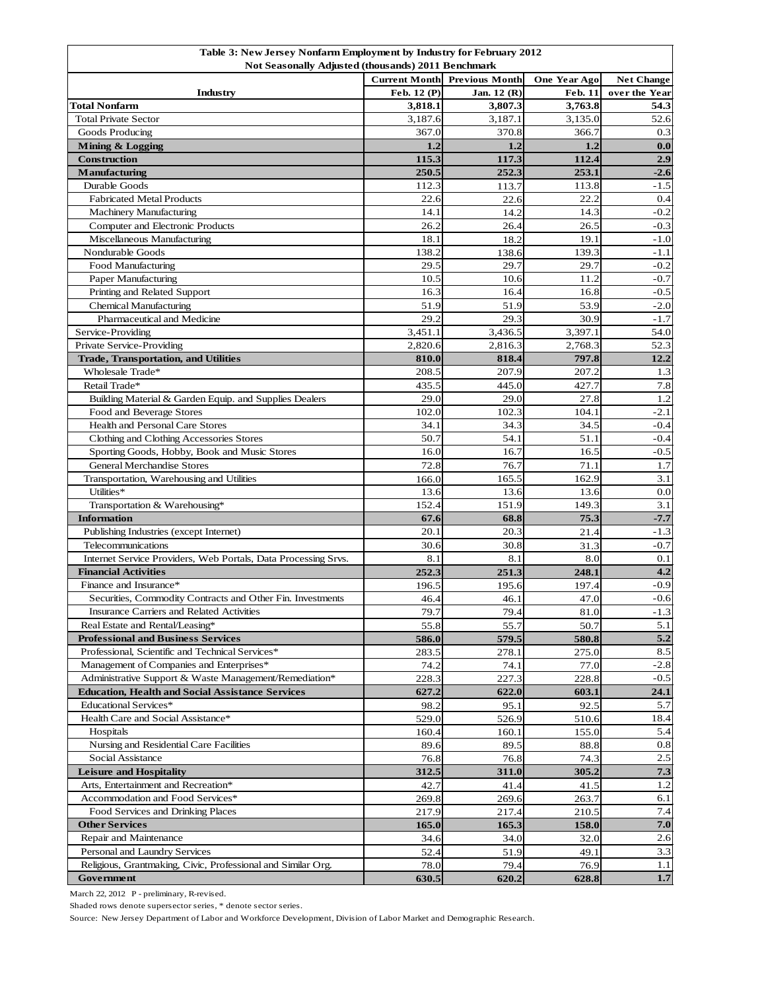| Table 3: New Jersey Nonfarm Employment by Industry for February 2012 |                      |                       |                     |                   |  |  |
|----------------------------------------------------------------------|----------------------|-----------------------|---------------------|-------------------|--|--|
| Not Seasonally Adjusted (thousands) 2011 Benchmark                   |                      |                       |                     |                   |  |  |
|                                                                      | <b>Current Month</b> | <b>Previous Month</b> | <b>One Year Ago</b> | <b>Net Change</b> |  |  |
| <b>Industry</b>                                                      | Feb. 12 (P)          | Jan. $12(R)$          | <b>Feb. 11</b>      | over the Year     |  |  |
| <b>Total Nonfarm</b>                                                 | 3,818.1              | 3,807.3               | 3,763.8             | 54.3              |  |  |
| <b>Total Private Sector</b>                                          | 3,187.6              | 3,187.1               | 3,135.0             | 52.6              |  |  |
| Goods Producing                                                      | 367.0                | 370.8                 | 366.7               | 0.3               |  |  |
| Mining & Logging                                                     | 1.2                  | 1.2                   | 1.2                 | 0.0               |  |  |
| <b>Construction</b>                                                  | 115.3                | 117.3                 | 112.4               | 2.9               |  |  |
| <b>Manufacturing</b>                                                 | 250.5                | 252.3                 | 253.1               | $-2.6$            |  |  |
| Durable Goods                                                        | 112.3                | 113.7                 | 113.8               | $-1.5$            |  |  |
| <b>Fabricated Metal Products</b>                                     | 22.6                 | 22.6                  | 22.2                | 0.4               |  |  |
| <b>Machinery Manufacturing</b>                                       | 14.1                 | 14.2                  | 14.3                | $-0.2$            |  |  |
| Computer and Electronic Products                                     | 26.2                 | 26.4                  | 26.5                | $-0.3$            |  |  |
| Miscellaneous Manufacturing                                          | 18.1                 | 18.2                  | 19.1                | $-1.0$            |  |  |
| Nondurable Goods                                                     | 138.2                | 138.6                 | 139.3               | $-1.1$            |  |  |
| Food Manufacturing                                                   | 29.5                 | 29.7                  | 29.7                | $-0.2$            |  |  |
| Paper Manufacturing                                                  | 10.5                 | 10.6                  | 11.2                | $-0.7$            |  |  |
| Printing and Related Support                                         | 16.3                 | 16.4                  | 16.8                | $-0.5$            |  |  |
| <b>Chemical Manufacturing</b>                                        | 51.9                 | 51.9                  | 53.9                | $-2.0$            |  |  |
| Pharmaceutical and Medicine                                          | 29.2                 | 29.3                  | 30.9                | $-1.7$            |  |  |
| Service-Providing                                                    | 3,451.1              | 3,436.5               | 3,397.1             | 54.0              |  |  |
| Private Service-Providing                                            | 2,820.6              | 2,816.3               | 2,768.3             | 52.3              |  |  |
| <b>Trade, Transportation, and Utilities</b>                          | 810.0                | 818.4                 | 797.8               | 12.2              |  |  |
| Wholesale Trade*                                                     | 208.5                | 207.9                 | 207.2               | 1.3               |  |  |
| Retail Trade*                                                        | 435.5                | 445.0                 | 427.7               | 7.8               |  |  |
| Building Material & Garden Equip. and Supplies Dealers               | 29.0                 | 29.0                  | 27.8                | 1.2               |  |  |
| Food and Beverage Stores                                             | 102.0                | 102.3                 | 104.1               | $-2.1$            |  |  |
| Health and Personal Care Stores                                      | 34.1                 | 34.3                  | 34.5                | $-0.4$            |  |  |
| Clothing and Clothing Accessories Stores                             | 50.7                 | 54.1                  | 51.1                | $-0.4$            |  |  |
| Sporting Goods, Hobby, Book and Music Stores                         | 16.0                 | 16.7                  | 16.5                | $-0.5$            |  |  |
| <b>General Merchandise Stores</b>                                    | 72.8                 | 76.7                  | 71.1                | 1.7               |  |  |
| Transportation, Warehousing and Utilities                            | 166.0                | 165.5                 | 162.9               | 3.1               |  |  |
| Utilities*                                                           | 13.6                 | 13.6                  | 13.6                | 0.0               |  |  |
| Transportation & Warehousing*                                        | 152.4                | 151.9                 | 149.3               | 3.1               |  |  |
| <b>Information</b>                                                   | 67.6                 | 68.8                  | 75.3                | $-7.7$            |  |  |
| Publishing Industries (except Internet)                              | 20.1                 | 20.3                  | 21.4                | $-1.3$            |  |  |
| Telecommunications                                                   | 30.6                 | 30.8                  |                     | $-0.7$            |  |  |
| Internet Service Providers, Web Portals, Data Processing Srvs.       | 8.1                  | 8.1                   | 31.3<br>8.0         | 0.1               |  |  |
| <b>Financial Activities</b>                                          | 252.3                |                       |                     | 4.2               |  |  |
| Finance and Insurance*                                               |                      | 251.3                 | 248.1               | $-0.9$            |  |  |
|                                                                      | 196.5                | 195.6                 | 197.4               |                   |  |  |
| Securities, Commodity Contracts and Other Fin. Investments           | 46.4                 | 46.1                  | 47.0                | $-0.6$            |  |  |
| Insurance Carriers and Related Activities                            | 79.7                 | 79.4                  | $81.0\,$            | $-1.3$            |  |  |
| Real Estate and Rental/Leasing*                                      | 55.8                 | 55.7                  | 50.7                | 5.1               |  |  |
| <b>Professional and Business Services</b>                            | 586.0                | 579.5                 | 580.8               | 5.2               |  |  |
| Professional, Scientific and Technical Services*                     | 283.5                | 278.1                 | 275.0               | 8.5               |  |  |
| Management of Companies and Enterprises*                             | 74.2                 | 74.1                  | 77.0                | $-2.8$            |  |  |
| Administrative Support & Waste Management/Remediation*               | 228.3                | 227.3                 | 228.8               | $-0.5$            |  |  |
| <b>Education, Health and Social Assistance Services</b>              | 627.2                | 622.0                 | 603.1               | 24.1              |  |  |
| <b>Educational Services*</b>                                         | 98.2                 | 95.1                  | 92.5                | 5.7               |  |  |
| Health Care and Social Assistance*                                   | 529.0                | 526.9                 | 510.6               | 18.4              |  |  |
| Hospitals                                                            | 160.4                | 160.1                 | 155.0               | 5.4               |  |  |
| Nursing and Residential Care Facilities                              | 89.6                 | 89.5                  | 88.8                | 0.8               |  |  |
| Social Assistance                                                    | 76.8                 | 76.8                  | 74.3                | 2.5               |  |  |
| <b>Leisure and Hospitality</b>                                       | 312.5                | 311.0                 | 305.2               | 7.3               |  |  |
| Arts, Entertainment and Recreation*                                  | 42.7                 | 41.4                  | 41.5                | 1.2               |  |  |
| Accommodation and Food Services*                                     | 269.8                | 269.6                 | 263.7               | 6.1               |  |  |
| Food Services and Drinking Places                                    | 217.9                | 217.4                 | 210.5               | 7.4               |  |  |
| <b>Other Services</b>                                                | 165.0                | 165.3                 | 158.0               | 7.0               |  |  |
| Repair and Maintenance                                               | 34.6                 | 34.0                  | 32.0                | 2.6               |  |  |
| Personal and Laundry Services                                        | 52.4                 | 51.9                  | 49.1                | 3.3               |  |  |
| Religious, Grantmaking, Civic, Professional and Similar Org.         | 78.0                 | 79.4                  | 76.9                | 1.1               |  |  |
| Government                                                           | 630.5                | 620.2                 | 628.8               | $1.7\,$           |  |  |

March 22, 2012 P - preliminary, R-revised.

Shaded rows denote supersector series, \* denote sector series.

Source: New Jersey Department of Labor and Workforce Development, Division of Labor Market and Demographic Research.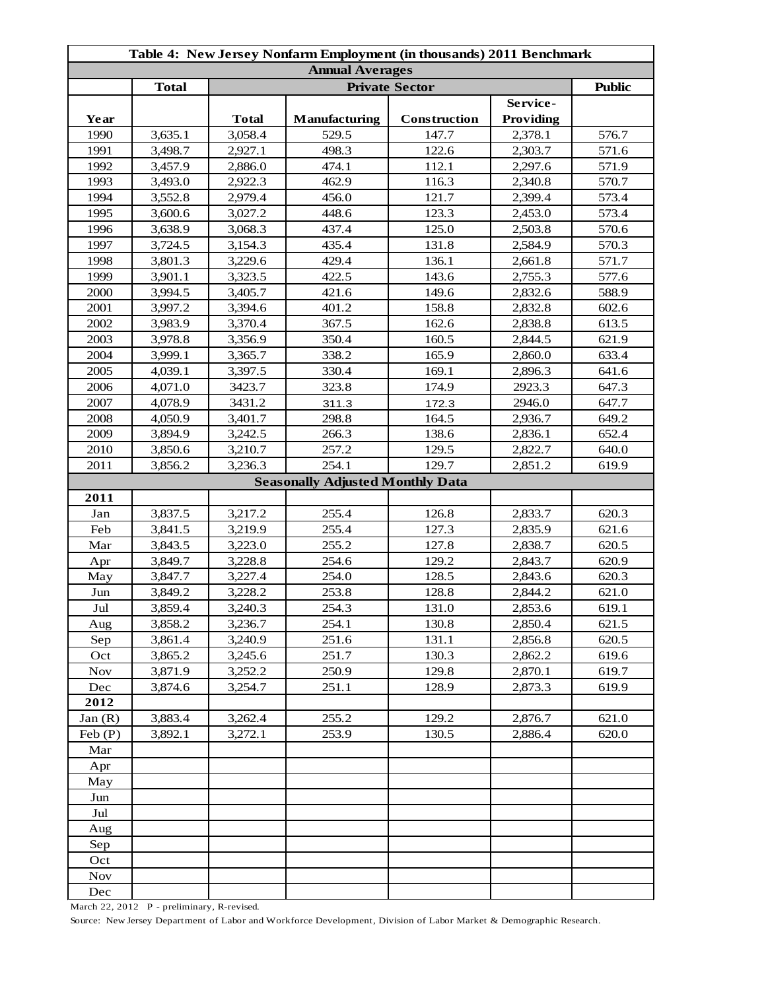| Table 4: New Jersey Nonfarm Employment (in thousands) 2011 Benchmark |              |              |                                         |              |           |       |  |
|----------------------------------------------------------------------|--------------|--------------|-----------------------------------------|--------------|-----------|-------|--|
| <b>Annual Averages</b><br><b>Private Sector</b>                      |              |              |                                         |              |           |       |  |
|                                                                      | <b>Total</b> |              | <b>Public</b>                           |              |           |       |  |
|                                                                      |              |              |                                         |              | Service-  |       |  |
| Year                                                                 |              | <b>Total</b> | <b>Manufacturing</b>                    | Construction | Providing |       |  |
| 1990                                                                 | 3,635.1      | 3,058.4      | 529.5                                   | 147.7        | 2,378.1   | 576.7 |  |
| 1991                                                                 | 3,498.7      | 2,927.1      | 498.3                                   | 122.6        | 2,303.7   | 571.6 |  |
| 1992                                                                 | 3,457.9      | 2,886.0      | 474.1                                   | 112.1        | 2,297.6   | 571.9 |  |
| 1993                                                                 | 3,493.0      | 2,922.3      | 462.9                                   | 116.3        | 2,340.8   | 570.7 |  |
| 1994                                                                 | 3,552.8      | 2,979.4      | 456.0                                   | 121.7        | 2,399.4   | 573.4 |  |
| 1995                                                                 | 3,600.6      | 3,027.2      | 448.6                                   | 123.3        | 2,453.0   | 573.4 |  |
| 1996                                                                 | 3,638.9      | 3,068.3      | 437.4                                   | 125.0        | 2,503.8   | 570.6 |  |
| 1997                                                                 | 3,724.5      | 3,154.3      | 435.4                                   | 131.8        | 2,584.9   | 570.3 |  |
| 1998                                                                 | 3,801.3      | 3,229.6      | 429.4                                   | 136.1        | 2,661.8   | 571.7 |  |
| 1999                                                                 | 3,901.1      | 3,323.5      | 422.5                                   | 143.6        | 2,755.3   | 577.6 |  |
| 2000                                                                 | 3,994.5      | 3,405.7      | 421.6                                   | 149.6        | 2,832.6   | 588.9 |  |
| 2001                                                                 | 3,997.2      | 3,394.6      | 401.2                                   | 158.8        | 2,832.8   | 602.6 |  |
| 2002                                                                 | 3,983.9      | 3,370.4      | 367.5                                   | 162.6        | 2,838.8   | 613.5 |  |
| 2003                                                                 | 3,978.8      | 3,356.9      | 350.4                                   | 160.5        | 2,844.5   | 621.9 |  |
| 2004                                                                 | 3,999.1      | 3,365.7      | 338.2                                   | 165.9        | 2,860.0   | 633.4 |  |
| 2005                                                                 | 4,039.1      | 3,397.5      | 330.4                                   | 169.1        | 2,896.3   | 641.6 |  |
| 2006                                                                 | 4,071.0      | 3423.7       | 323.8                                   | 174.9        | 2923.3    | 647.3 |  |
| 2007                                                                 | 4,078.9      | 3431.2       | 311.3                                   | 172.3        | 2946.0    | 647.7 |  |
| 2008                                                                 | 4,050.9      | 3,401.7      | 298.8                                   | 164.5        | 2,936.7   | 649.2 |  |
| 2009                                                                 | 3,894.9      | 3,242.5      | 266.3                                   | 138.6        | 2,836.1   | 652.4 |  |
| 2010                                                                 | 3,850.6      | 3,210.7      | 257.2                                   | 129.5        | 2,822.7   | 640.0 |  |
| 2011                                                                 | 3,856.2      | 3,236.3      | 254.1                                   | 129.7        | 2,851.2   | 619.9 |  |
|                                                                      |              |              | <b>Seasonally Adjusted Monthly Data</b> |              |           |       |  |
| 2011                                                                 |              |              |                                         |              |           |       |  |
| Jan                                                                  | 3,837.5      | 3,217.2      | 255.4                                   | 126.8        | 2,833.7   | 620.3 |  |
| Feb                                                                  | 3,841.5      | 3,219.9      | 255.4                                   | 127.3        | 2,835.9   | 621.6 |  |
| Mar                                                                  | 3,843.5      | 3,223.0      | 255.2                                   | 127.8        | 2,838.7   | 620.5 |  |
| Apr                                                                  | 3,849.7      | 3,228.8      | 254.6                                   | 129.2        | 2,843.7   | 620.9 |  |
| May                                                                  | 3,847.7      | 3,227.4      | 254.0                                   | 128.5        | 2,843.6   | 620.3 |  |
| Jun                                                                  | 3,849.2      | 3,228.2      | 253.8                                   | 128.8        | 2,844.2   | 621.0 |  |
| $_{\rm{Jul}}$                                                        | 3,859.4      | 3,240.3      | 254.3                                   | 131.0        | 2,853.6   | 619.1 |  |
| Aug                                                                  | 3,858.2      | 3,236.7      | 254.1                                   | 130.8        | 2,850.4   | 621.5 |  |
| Sep                                                                  | 3,861.4      | 3,240.9      | 251.6                                   | 131.1        | 2,856.8   | 620.5 |  |
| Oct                                                                  | 3,865.2      | 3,245.6      | 251.7                                   | 130.3        | 2,862.2   | 619.6 |  |
| <b>Nov</b>                                                           | 3,871.9      | 3,252.2      | 250.9                                   | 129.8        | 2,870.1   | 619.7 |  |
| Dec                                                                  | 3,874.6      | 3,254.7      | 251.1                                   | 128.9        | 2,873.3   | 619.9 |  |
| 2012                                                                 |              |              |                                         |              |           |       |  |
| Jan(R)                                                               | 3,883.4      | 3,262.4      | 255.2                                   | 129.2        | 2,876.7   | 621.0 |  |
| Feb(P)                                                               | 3,892.1      | 3,272.1      | 253.9                                   | 130.5        | 2,886.4   | 620.0 |  |
| Mar                                                                  |              |              |                                         |              |           |       |  |
| Apr                                                                  |              |              |                                         |              |           |       |  |
| May                                                                  |              |              |                                         |              |           |       |  |
| Jun                                                                  |              |              |                                         |              |           |       |  |
| Jul                                                                  |              |              |                                         |              |           |       |  |
| Aug                                                                  |              |              |                                         |              |           |       |  |
| Sep                                                                  |              |              |                                         |              |           |       |  |
| Oct                                                                  |              |              |                                         |              |           |       |  |
| <b>Nov</b>                                                           |              |              |                                         |              |           |       |  |
| Dec                                                                  |              |              |                                         |              |           |       |  |

March 22, 2012 P - preliminary, R-revised.

Source: New Jersey Department of Labor and Workforce Development, Division of Labor Market & Demographic Research.